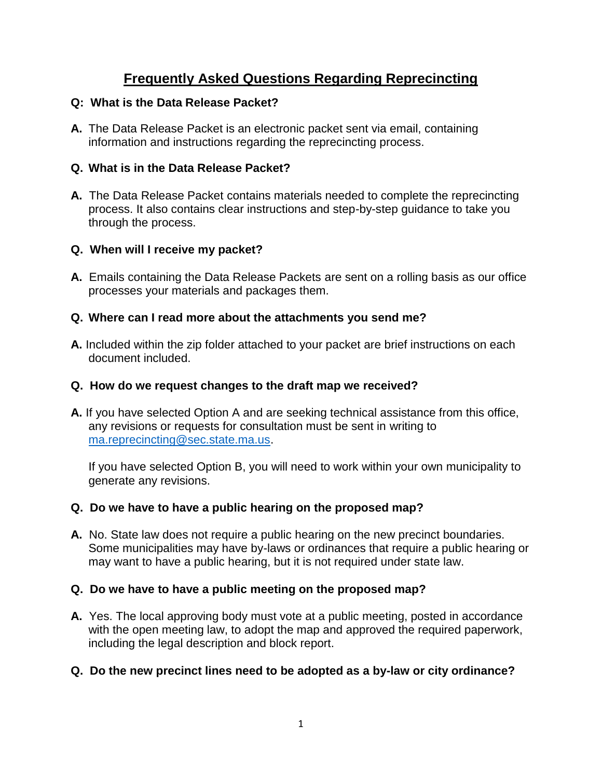# **Frequently Asked Questions Regarding Reprecincting**

#### **Q: What is the Data Release Packet?**

**A.** The Data Release Packet is an electronic packet sent via email, containing information and instructions regarding the reprecincting process.

### **Q. What is in the Data Release Packet?**

**A.** The Data Release Packet contains materials needed to complete the reprecincting process. It also contains clear instructions and step-by-step guidance to take you through the process.

### **Q. When will I receive my packet?**

**A.** Emails containing the Data Release Packets are sent on a rolling basis as our office processes your materials and packages them.

### **Q. Where can I read more about the attachments you send me?**

**A.** Included within the zip folder attached to your packet are brief instructions on each document included.

#### **Q. How do we request changes to the draft map we received?**

**A.** If you have selected Option A and are seeking technical assistance from this office, any revisions or requests for consultation must be sent in writing to [ma.reprecincting@sec.state.ma.us.](mailto:ma.reprecincting@sec.state.ma.us)

If you have selected Option B, you will need to work within your own municipality to generate any revisions.

### **Q. Do we have to have a public hearing on the proposed map?**

**A.** No. State law does not require a public hearing on the new precinct boundaries. Some municipalities may have by-laws or ordinances that require a public hearing or may want to have a public hearing, but it is not required under state law.

### **Q. Do we have to have a public meeting on the proposed map?**

**A.** Yes. The local approving body must vote at a public meeting, posted in accordance with the open meeting law, to adopt the map and approved the required paperwork, including the legal description and block report.

### **Q. Do the new precinct lines need to be adopted as a by-law or city ordinance?**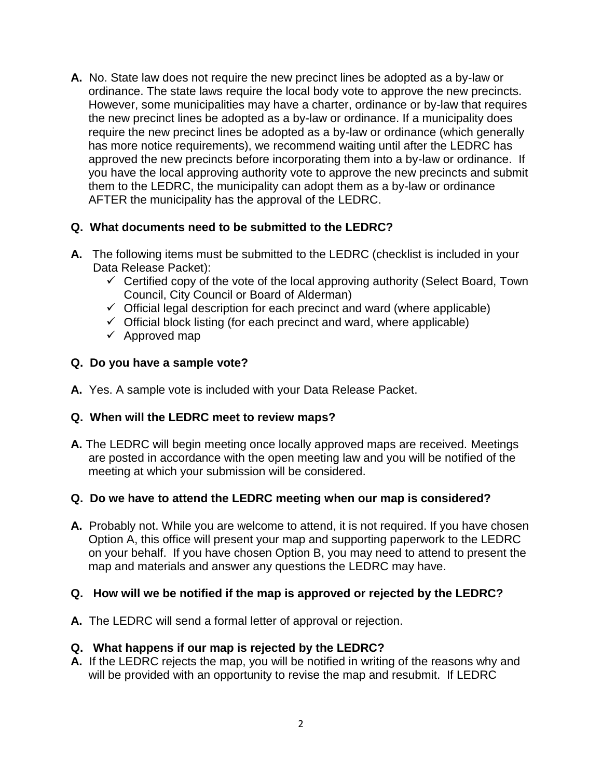**A.** No. State law does not require the new precinct lines be adopted as a by-law or ordinance. The state laws require the local body vote to approve the new precincts. However, some municipalities may have a charter, ordinance or by-law that requires the new precinct lines be adopted as a by-law or ordinance. If a municipality does require the new precinct lines be adopted as a by-law or ordinance (which generally has more notice requirements), we recommend waiting until after the LEDRC has approved the new precincts before incorporating them into a by-law or ordinance. If you have the local approving authority vote to approve the new precincts and submit them to the LEDRC, the municipality can adopt them as a by-law or ordinance AFTER the municipality has the approval of the LEDRC.

### **Q. What documents need to be submitted to the LEDRC?**

- **A.** The following items must be submitted to the LEDRC (checklist is included in your Data Release Packet):
	- $\checkmark$  Certified copy of the vote of the local approving authority (Select Board, Town Council, City Council or Board of Alderman)
	- $\checkmark$  Official legal description for each precinct and ward (where applicable)
	- $\checkmark$  Official block listing (for each precinct and ward, where applicable)
	- $\checkmark$  Approved map

#### **Q. Do you have a sample vote?**

**A.** Yes. A sample vote is included with your Data Release Packet.

### **Q. When will the LEDRC meet to review maps?**

**A.** The LEDRC will begin meeting once locally approved maps are received. Meetings are posted in accordance with the open meeting law and you will be notified of the meeting at which your submission will be considered.

### **Q. Do we have to attend the LEDRC meeting when our map is considered?**

**A.** Probably not. While you are welcome to attend, it is not required. If you have chosen Option A, this office will present your map and supporting paperwork to the LEDRC on your behalf. If you have chosen Option B, you may need to attend to present the map and materials and answer any questions the LEDRC may have.

#### **Q. How will we be notified if the map is approved or rejected by the LEDRC?**

**A.** The LEDRC will send a formal letter of approval or rejection.

#### **Q. What happens if our map is rejected by the LEDRC?**

**A.** If the LEDRC rejects the map, you will be notified in writing of the reasons why and will be provided with an opportunity to revise the map and resubmit. If LEDRC